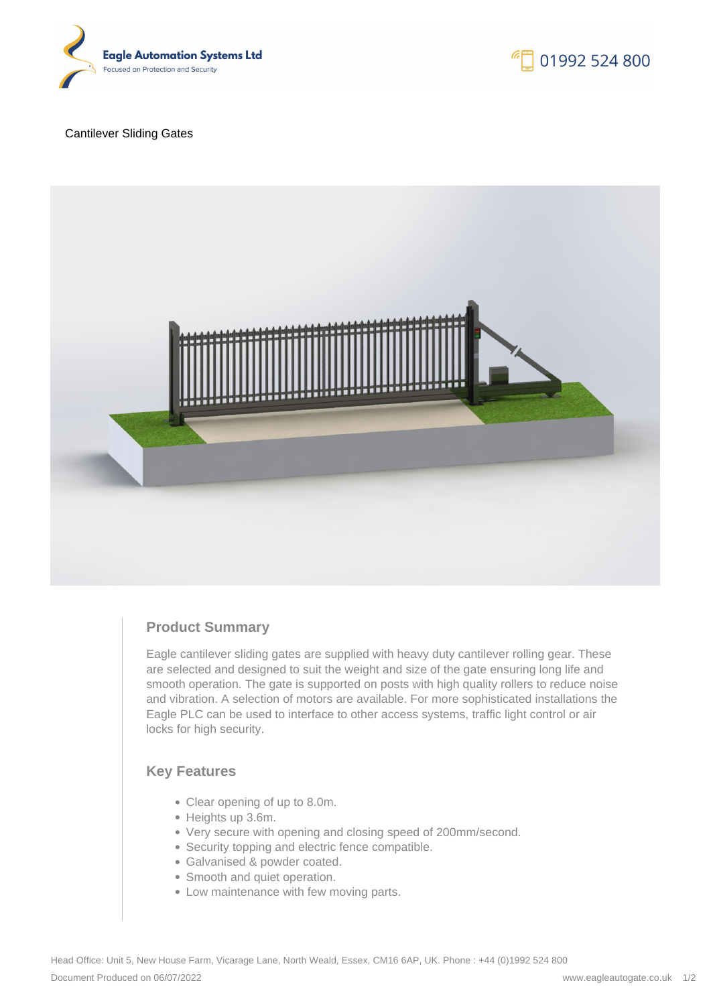

#### Cantilever Sliding Gates



# **Product Summary**

Eagle cantilever sliding gates are supplied with heavy duty cantilever rolling gear. These are selected and designed to suit the weight and size of the gate ensuring long life and smooth operation. The gate is supported on posts with high quality rollers to reduce noise and vibration. A selection of motors are available. For more sophisticated installations the Eagle PLC can be used to interface to other access systems, traffic light control or air locks for high security.

## **Key Features**

- Clear opening of up to 8.0m.
- Heights up 3.6m.
- Very secure with opening and closing speed of 200mm/second.
- Security topping and electric fence compatible.
- Galvanised & powder coated.
- Smooth and quiet operation.
- Low maintenance with few moving parts.